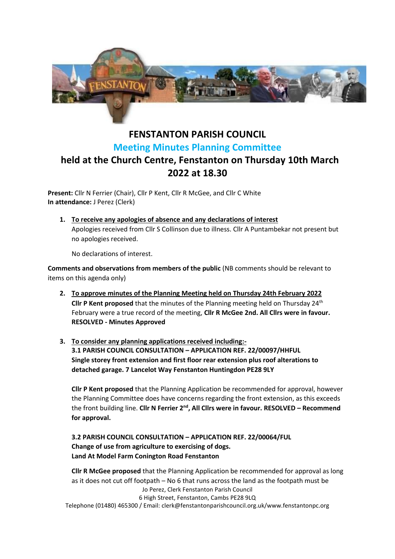

## **FENSTANTON PARISH COUNCIL Meeting Minutes Planning Committee held at the Church Centre, Fenstanton on Thursday 10th March 2022 at 18.30**

**Present:** Cllr N Ferrier (Chair), Cllr P Kent, Cllr R McGee, and Cllr C White **In attendance:** J Perez (Clerk)

**1. To receive any apologies of absence and any declarations of interest** Apologies received from Cllr S Collinson due to illness. Cllr A Puntambekar not present but no apologies received.

No declarations of interest.

**Comments and observations from members of the public** (NB comments should be relevant to items on this agenda only)

- **2. To approve minutes of the Planning Meeting held on Thursday 24th February 2022 Cllr P Kent proposed** that the minutes of the Planning meeting held on Thursday 24<sup>th</sup> February were a true record of the meeting, **Cllr R McGee 2nd. All Cllrs were in favour. RESOLVED - Minutes Approved**
- **3. To consider any planning applications received including:- 3.1 PARISH COUNCIL CONSULTATION – APPLICATION REF. 22/00097/HHFUL Single storey front extension and first floor rear extension plus roof alterations to detached garage. 7 Lancelot Way Fenstanton Huntingdon PE28 9LY**

**Cllr P Kent proposed** that the Planning Application be recommended for approval, however the Planning Committee does have concerns regarding the front extension, as this exceeds the front building line. Cllr N Ferrier 2<sup>nd</sup>, All Cllrs were in favour. RESOLVED - Recommend **for approval.**

## **3.2 PARISH COUNCIL CONSULTATION – APPLICATION REF. 22/00064/FUL Change of use from agriculture to exercising of dogs. Land At Model Farm Conington Road Fenstanton**

Jo Perez, Clerk Fenstanton Parish Council 6 High Street, Fenstanton, Cambs PE28 9LQ Telephone (01480) 465300 / Email: clerk@fenstantonparishcouncil.org.uk/www.fenstantonpc.org **Cllr R McGee proposed** that the Planning Application be recommended for approval as long as it does not cut off footpath – No 6 that runs across the land as the footpath must be